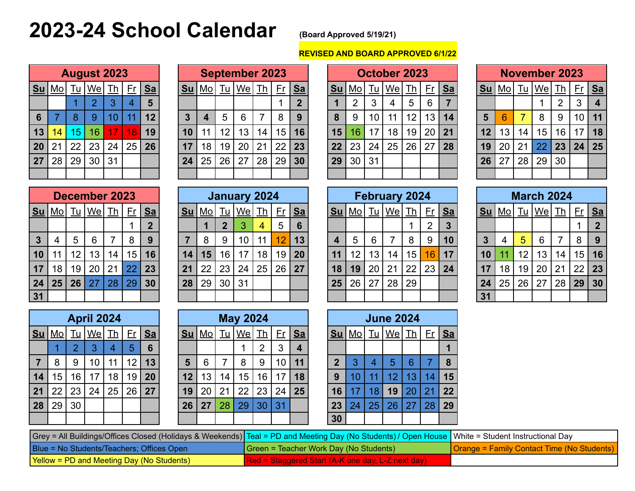# **2023-24 School Calendar (Board Approved 5/19/21)**

# **REVISED AND BOARD APPROVED 6/1/22**

|      |                        |           | <b>August 2023</b> |    |    |                         |
|------|------------------------|-----------|--------------------|----|----|-------------------------|
| $Su$ | $\overline{\text{Mo}}$ | <b>Tu</b> | We Th              |    | Er | <u>Sa</u>               |
|      |                        |           | $\overline{2}$     | 3  | 4  | $\overline{\mathbf{5}}$ |
| 6    |                        | 8         | 9                  | 10 | 11 | 12                      |
| 13   | 14                     | 15        | 16                 | 17 | 18 | 19                      |
| 20   | 21                     | 22        | 23                 | 24 | 25 | 26                      |
| 27   | 28                     | 29        | 30                 | 31 |    |                         |
|      |                        |           |                    |    |    |                         |

|    |               |           | <b>August 2023</b> |    |    |         |            |               |    | <b>September 2023</b> |    |    |             |                 |                |    | October 2023   |                |                 |    |           |                 |    | <b>November 2023</b> |           |           |    |
|----|---------------|-----------|--------------------|----|----|---------|------------|---------------|----|-----------------------|----|----|-------------|-----------------|----------------|----|----------------|----------------|-----------------|----|-----------|-----------------|----|----------------------|-----------|-----------|----|
|    | <u>Su Mo </u> | <u>Tu</u> | <u> We  Th</u>     |    |    | $Fr$ Sa | <u> Su</u> | <u>Mol Tu</u> |    | <u> We  Th</u>        |    |    | $Fr$ Sa     | <b>Su</b>       | M <sub>O</sub> |    | <u>Tu   We</u> | I <sub>h</sub> | $Fr$            | Sa | <u>Su</u> | <u> Mo  Tu</u>  |    | $ \mathsf{We} $      | <u>Th</u> | $Fr$ Sa   |    |
|    |               |           | ◠                  | 3  |    | 5       |            |               |    |                       |    |    | $\mathbf 2$ |                 | 2              | 3  | 4              | 5              | 6               |    |           |                 |    |                      | 2         | 3         | -4 |
| 6  |               | 8         | 9                  | 10 | 11 | 12      | 3          | 4             | 5  | 6                     |    | 8  | -9          | 8               | 9              | 10 | 11             | 12             | 13              | 14 | 5         | 6               | ⇁  | 8                    | 9         | $10$   11 |    |
| 13 | 14            | 15        | 16                 | 17 | 8  | 19      | 10         |               | 12 | 13                    | 14 | 15 | 16          | 15 <sub>1</sub> | 16             | 17 | 18             | 19             | 20 <sup>1</sup> | 21 | 12        | 13 <sup>1</sup> | 14 | 15                   | 16        | 17        | 18 |
|    | 20 21         | 22        | 23                 | 24 | 25 | 26      | 17         | 18            | 19 | 20                    | 21 | 22 | 23          | 22 <sub>1</sub> | 23             | 24 | 25             | 26             | 27              | 28 | 19        | 20              | 21 | 22                   | 23        | 24        | 25 |
|    | 27 28         | 29        | 30                 | 31 |    |         | 24         | 25            | 26 | 27                    | 28 | 29 | 30          | 29              | 30             | 31 |                |                |                 |    | 26        | 27              | 28 | 29                   | 30        |           |    |
|    |               |           |                    |    |    |         |            |               |    |                       |    |    |             |                 |                |    |                |                |                 |    |           |                 |    |                      |           |           |    |

|    |    |           | October 2023 |    |    |         |
|----|----|-----------|--------------|----|----|---------|
| Su | Mo | <u>Tu</u> | We Th        |    | Er | $S_{a}$ |
|    | 2  | 3         | 4            | 5  | 6  |         |
| 8  | 9  | 10        | 11           | 12 | 13 | 14      |
| 15 | 16 | 17        | 18           | 19 | 20 | 21      |
| 22 | 23 | 24        | 25           | 26 | 27 | 28      |
| 29 | 30 | 31        |              |    |    |         |
|    |    |           |              |    |    |         |

|           |    |    | <b>November 2023</b> |                |    |           |
|-----------|----|----|----------------------|----------------|----|-----------|
| <u>Su</u> |    |    | <u>Mo  Tu We  Th</u> |                | Er | <u>Sa</u> |
|           |    |    |                      | $\overline{2}$ | 3  |           |
| 5         | 6  |    | 8                    | 9              | 10 | 11        |
| 12        | 13 | 14 | 15 <sub>15</sub>     | 16             | 17 | 18        |
| 19        | 20 | 21 | 22                   | 23             | 24 | 25        |
| 26        | 27 | 28 | 29                   | 30             |    |           |
|           |    |    |                      |                |    |           |

|                |    |      | <b>December 2023</b> |    |    |             |
|----------------|----|------|----------------------|----|----|-------------|
| Su             | Mo | $Iu$ | We Th                |    | Er | Sa          |
|                |    |      |                      |    |    | $\mathbf 2$ |
| $\overline{3}$ | 4  | 5    | 6                    | 7  | 8  | 9           |
| 10             | 11 | 12   | 13                   | 14 | 15 | 16          |
| 17             | 18 | 19   | 20                   | 21 | 22 | 23          |
| 24             | 25 | 26   | 27                   | 28 | 29 | 30          |
| 31             |    |      |                      |    |    |             |

|                 |                  |    | December 2023               |                |    |         |            |    |    | January 2024         |                |                 |         |           |              |      | <b>February 2024</b> |    |                |    |    |      |    | <b>March 2024</b>                          |    |    |                |
|-----------------|------------------|----|-----------------------------|----------------|----|---------|------------|----|----|----------------------|----------------|-----------------|---------|-----------|--------------|------|----------------------|----|----------------|----|----|------|----|--------------------------------------------|----|----|----------------|
|                 | <u>Su Mo  Tu</u> |    | $ \underline{\mathsf{We}} $ | I <sub>h</sub> |    | $Fr$ Sa | <u> Su</u> |    |    | <u>Mo  Tu We  Th</u> |                |                 | $Fr$ Sa | <b>Su</b> | <u>  Mo </u> | $Iu$ | $ \mathsf{We} $      | Th | <u>Fr</u>   Sa |    |    |      |    | <u>  Su   Mo  Tu   We  Th <sub> </sub></u> |    |    | $Fr$ Sa        |
|                 |                  |    |                             |                |    | 2       |            |    |    |                      | $\overline{4}$ | $5\overline{)}$ | 6       |           |              |      |                      |    |                |    |    |      |    |                                            |    |    | $\overline{2}$ |
| $\mathbf{3}$    | 4                | 5  | 6                           |                | 8  | 9       |            | 8  | 9  | 10                   | 11             | 12              | 13      |           | 5            | 6    |                      | 8  | 9              | 10 | 3  | 4    | 5  | 6                                          |    | 8  | - 9            |
| 10 <sup>1</sup> | 11               | 12 | 13                          | 14             | 15 | 16      | 14         | 15 | 16 | 17                   | 18             | 19              | 20      | 11        | 12           | 13   | 14                   | 15 | 16             | 17 | 10 |      | 12 | 13                                         | 14 |    | 15 16          |
| 17 <sup>1</sup> | 18               | 19 | 20                          | 21             | 22 | 23      | 21         | 22 | 23 | 24                   | 25             | 26              | 27      | 18        | 19           | 20   | 21                   | 22 | 23             | 24 | 17 | 18 l | 19 | 20                                         | 21 |    | $22 \mid 23$   |
| 24              | 25               | 26 | <b>27</b>                   | 28             | 29 | 30      | 28         | 29 | 30 | 31                   |                |                 |         | 25        | 26           | 27   | 28                   | 29 |                |    | 24 | 25   | 26 | 27                                         | 28 | 29 | 30             |
| 31              |                  |    |                             |                |    |         |            |    |    |                      |                |                 |         |           |              |      |                      |    |                |    | 31 |      |    |                                            |    |    |                |

|                         |    |      | <b>February 2024</b> |    |                |                  |
|-------------------------|----|------|----------------------|----|----------------|------------------|
| Su                      | MQ | $Iu$ | We                   | Th | Fr             | Sa               |
|                         |    |      |                      |    | $\overline{2}$ | $\boldsymbol{3}$ |
| $\overline{\mathbf{4}}$ | 5  | 6    | 7                    | 8  | 9              | 10               |
| 11                      | 12 | 13   | 14                   | 15 | 16             | 17               |
| 18                      | 19 | 20   | 21                   | 22 | 23             | 24               |
| 25                      | 26 | 27   | 28                   | 29 |                |                  |
|                         |    |      |                      |    |                |                  |

|                 |    |                                                            | <b>March 2024</b> |    |    |                |
|-----------------|----|------------------------------------------------------------|-------------------|----|----|----------------|
| $Su$            | Mo | $\underline{\underline{\mathsf{T}}\underline{\mathsf{u}}}$ | <u> We  Th</u>    |    | Fr | Sa             |
|                 |    |                                                            |                   |    |    | $\overline{2}$ |
| $\overline{3}$  | 4  | 5                                                          | 6                 | 7  | 8  | 9              |
| 10              | 11 | 12                                                         | 13                | 14 | 15 | 16             |
| 17              | 18 | 19                                                         | 20                | 21 | 22 | 23             |
| 24              | 25 | 26                                                         | 27                | 28 | 29 | 30             |
| $\overline{31}$ |    |                                                            |                   |    |    |                |

|                |    |                | <b>April 2024</b> |    |           |                |
|----------------|----|----------------|-------------------|----|-----------|----------------|
| $Su$           | Mo | <u>Tu</u>      | <u>  We</u> Th    |    | <u>Fr</u> | <u>Sa</u>      |
|                |    | $\overline{2}$ | 3                 | 4  | 5         | $6\phantom{a}$ |
| $\overline{7}$ | 8  | 9              | 10                | 11 | 12        | 13             |
| 14             | 15 | 16             | 17                | 18 | 19        | 20             |
| 21             | 22 | 23             | 24                | 25 | 26        | 27             |
| 28             | 29 | 30             |                   |    |           |                |
|                |    |                |                   |    |           |                |

|    |           |                 | <b>April 2024</b> |           |    |           |           |           |           | <b>May 2024</b> |            |    |           |           |           |           | <b>June 2024</b> |           |    |           |
|----|-----------|-----------------|-------------------|-----------|----|-----------|-----------|-----------|-----------|-----------------|------------|----|-----------|-----------|-----------|-----------|------------------|-----------|----|-----------|
| Su | <u>Mo</u> | <u>Tu</u>       | We                | <u>Ih</u> | Fr | <u>Sa</u> | <u>Su</u> | <u>Mo</u> | <u>Tu</u> | We <sub>l</sub> | <u> Th</u> | Er | <u>Sa</u> | <u>Su</u> | <u>Mo</u> | <u>Tu</u> | $ \mathsf{We} $  | <u>Th</u> | Er | <u>Sa</u> |
|    |           |                 | 3                 | 4         | 5  | 6         |           |           |           |                 | 2          | 3  |           |           |           |           |                  |           |    |           |
|    | 8         | 9               | 10                | 11        | 12 | 13        | 5         | 6         |           | 8               | 9          | 10 | 11        | 2         | 3         | 4         | 5                | 6         |    | 8         |
| 14 | 15        | 16 <sub>1</sub> | 17                | 18        | 19 | 20        | 12        | 13        | 14        | 15              | 16         | 17 | 18        | 9         |           | 11        | 12               | 13        | 14 | 15        |
| 21 | 22        | 23              | 24                | 25        | 26 | 27        | 19        | 20        | 21        | 22              | 23         | 24 | 25        | 16        |           | 18        | 19               | 20        | 21 | 22        |
| 28 | 29        | 30              |                   |           |    |           | 26        | 27        | 28        | 29              | 30         | 31 |           | 23        | 24        | 25        | 26               | 27        | 28 | 29        |
|    |           |                 |                   |           |    |           |           |           |           |                 |            |    |           | 30        |           |           |                  |           |    |           |

|    |           |      | April 2024 |    |    |           |    |           |           | <b>May 2024</b> |                |     |           |           |           |           | <b>June 2024</b> |    |                 |           |
|----|-----------|------|------------|----|----|-----------|----|-----------|-----------|-----------------|----------------|-----|-----------|-----------|-----------|-----------|------------------|----|-----------------|-----------|
| Su | <u>Mo</u> | nu i | We         | Тh | ۲r | <u>Sa</u> | Su | <u>Mo</u> | <u>lu</u> | We              | Тh             | Er. | <u>Sa</u> | <u>Su</u> | <u>Mo</u> | <u>Tu</u> | We               | Тh | <u>Fr</u>       | <u>Sa</u> |
|    |           |      | 3          |    | 5  | 6         |    |           |           |                 | $\overline{2}$ | 3   | 4         |           |           |           |                  |    |                 |           |
|    | 8         | 9    | 10         | 11 | 12 | 13        | 5  | 6         |           | 8               | 9              | 10  | 11        | າ         |           | 4         | 5                | 6  |                 |           |
| 14 | 15        | 16   | 17         | 18 | 19 | 20        | 12 | 13        | 14        | 15 <sup>1</sup> | 16             | 17  | 18        | 9         |           | 11        | 12 <sub>2</sub>  | 13 | $\overline{14}$ | 15        |
| 21 | 22        | 23   | 24         | 25 | 26 | 27        | 19 | 20        | 21        | 22              | 23             | 24  | 25        | 16        |           | 18        | 19               | 20 | 21              | 22        |
| 28 | 29        | 30   |            |    |    |           | 26 | 27        | 28        | 29              | 30             | 31  |           | 23        | 24        | 25        | 26               | 27 | 28              | 29        |
|    |           |      |            |    |    |           |    |           |           |                 |                |     |           | 30        |           |           |                  |    |                 |           |

| Grey = All Buildings/Offices Closed (Holidays & Weekends) Teal = PD and Meeting Day (No Students) / Open House   White = Student Instructional Day |                                                          |                                            |
|----------------------------------------------------------------------------------------------------------------------------------------------------|----------------------------------------------------------|--------------------------------------------|
| Blue = No Students/Teachers; Offices Open                                                                                                          | Green = Teacher Work Day (No Students)                   | Orange = Family Contact Time (No Students) |
| <b>Yellow = PD and Meeting Day (No Students)</b>                                                                                                   | <b>Red = Staggered Start (A-K one day, L-Z next day)</b> |                                            |